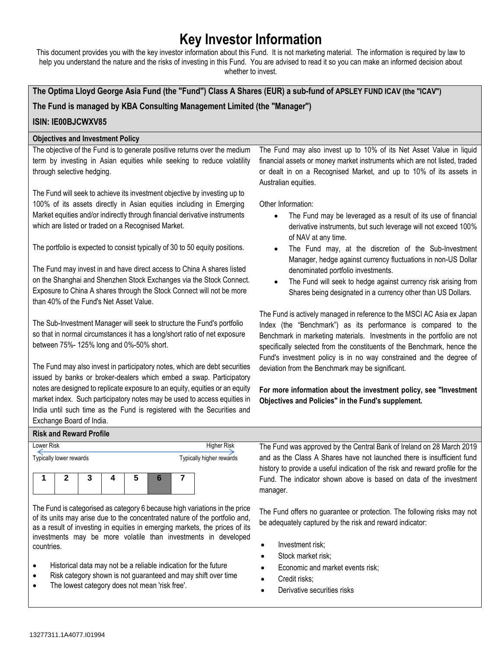# **Key Investor Information**

This document provides you with the key investor information about this Fund. It is not marketing material. The information is required by law to help you understand the nature and the risks of investing in this Fund. You are advised to read it so you can make an informed decision about whether to invest.

**The Optima Lloyd George Asia Fund (the "Fund") Class A Shares (EUR) a sub-fund of APSLEY FUND ICAV (the "ICAV")**

**The Fund is managed by KBA Consulting Management Limited (the "Manager")**

## **ISIN: IE00BJCWXV85**

### **Objectives and Investment Policy**

The objective of the Fund is to generate positive returns over the medium term by investing in Asian equities while seeking to reduce volatility through selective hedging.

The Fund will seek to achieve its investment objective by investing up to 100% of its assets directly in Asian equities including in Emerging Market equities and/or indirectly through financial derivative instruments which are listed or traded on a Recognised Market.

The portfolio is expected to consist typically of 30 to 50 equity positions.

The Fund may invest in and have direct access to China A shares listed on the Shanghai and Shenzhen Stock Exchanges via the Stock Connect. Exposure to China A shares through the Stock Connect will not be more than 40% of the Fund's Net Asset Value.

The Sub-Investment Manager will seek to structure the Fund's portfolio so that in normal circumstances it has a long/short ratio of net exposure between 75%- 125% long and 0%-50% short.

The Fund may also invest in participatory notes, which are debt securities issued by banks or broker-dealers which embed a swap. Participatory notes are designed to replicate exposure to an equity, equities or an equity market index. Such participatory notes may be used to access equities in India until such time as the Fund is registered with the Securities and Exchange Board of India.

The Fund may also invest up to 10% of its Net Asset Value in liquid financial assets or money market instruments which are not listed, traded or dealt in on a Recognised Market, and up to 10% of its assets in Australian equities.

Other Information:

- The Fund may be leveraged as a result of its use of financial derivative instruments, but such leverage will not exceed 100% of NAV at any time.
- The Fund may, at the discretion of the Sub-Investment Manager, hedge against currency fluctuations in non-US Dollar denominated portfolio investments.
- The Fund will seek to hedge against currency risk arising from Shares being designated in a currency other than US Dollars.

The Fund is actively managed in reference to the MSCI AC Asia ex Japan Index (the "Benchmark") as its performance is compared to the Benchmark in marketing materials. Investments in the portfolio are not specifically selected from the constituents of the Benchmark, hence the Fund's investment policy is in no way constrained and the degree of deviation from the Benchmark may be significant.

**For more information about the investment policy, see "Investment Objectives and Policies" in the Fund's supplement.**

#### **Risk and Reward Profile**

| Lower Risk              |  |  |  |  |   | Higher Risk              |  |  |
|-------------------------|--|--|--|--|---|--------------------------|--|--|
| Typically lower rewards |  |  |  |  |   | Typically higher rewards |  |  |
|                         |  |  |  |  |   |                          |  |  |
|                         |  |  |  |  | b |                          |  |  |
|                         |  |  |  |  |   |                          |  |  |

The Fund is categorised as category 6 because high variations in the price of its units may arise due to the concentrated nature of the portfolio and, as a result of investing in equities in emerging markets, the prices of its investments may be more volatile than investments in developed countries.

- Historical data may not be a reliable indication for the future
- Risk category shown is not guaranteed and may shift over time
- The lowest category does not mean 'risk free'.

The Fund was approved by the Central Bank of Ireland on 28 March 2019 and as the Class A Shares have not launched there is insufficient fund history to provide a useful indication of the risk and reward profile for the Fund. The indicator shown above is based on data of the investment manager.

The Fund offers no guarantee or protection. The following risks may not be adequately captured by the risk and reward indicator:

- Investment risk;
- Stock market risk;
- Economic and market events risk;
- Credit risks;
- Derivative securities risks